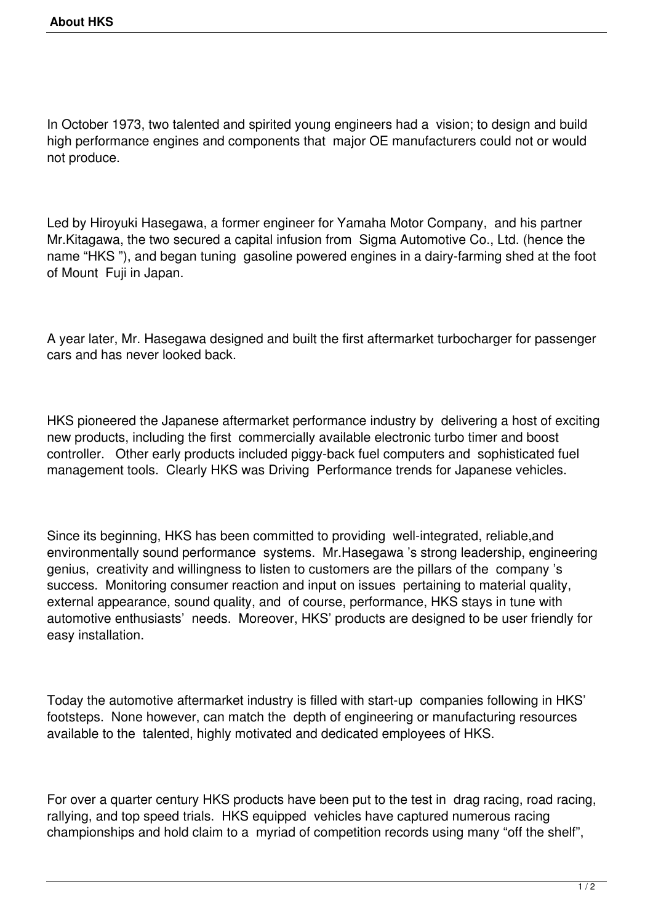In October 1973, two talented and spirited young engineers had a vision; to design and build high performance engines and components that major OE manufacturers could not or would not produce.

Led by Hiroyuki Hasegawa, a former engineer for Yamaha Motor Company, and his partner Mr.Kitagawa, the two secured a capital infusion from Sigma Automotive Co., Ltd. (hence the name "HKS "), and began tuning gasoline powered engines in a dairy-farming shed at the foot of Mount Fuji in Japan.

A year later, Mr. Hasegawa designed and built the first aftermarket turbocharger for passenger cars and has never looked back.

HKS pioneered the Japanese aftermarket performance industry by delivering a host of exciting new products, including the first commercially available electronic turbo timer and boost controller. Other early products included piggy-back fuel computers and sophisticated fuel management tools. Clearly HKS was Driving Performance trends for Japanese vehicles.

Since its beginning, HKS has been committed to providing well-integrated, reliable,and environmentally sound performance systems. Mr.Hasegawa 's strong leadership, engineering genius, creativity and willingness to listen to customers are the pillars of the company 's success. Monitoring consumer reaction and input on issues pertaining to material quality, external appearance, sound quality, and of course, performance, HKS stays in tune with automotive enthusiasts' needs. Moreover, HKS' products are designed to be user friendly for easy installation.

Today the automotive aftermarket industry is filled with start-up companies following in HKS' footsteps. None however, can match the depth of engineering or manufacturing resources available to the talented, highly motivated and dedicated employees of HKS.

For over a quarter century HKS products have been put to the test in drag racing, road racing, rallying, and top speed trials. HKS equipped vehicles have captured numerous racing championships and hold claim to a myriad of competition records using many "off the shelf",